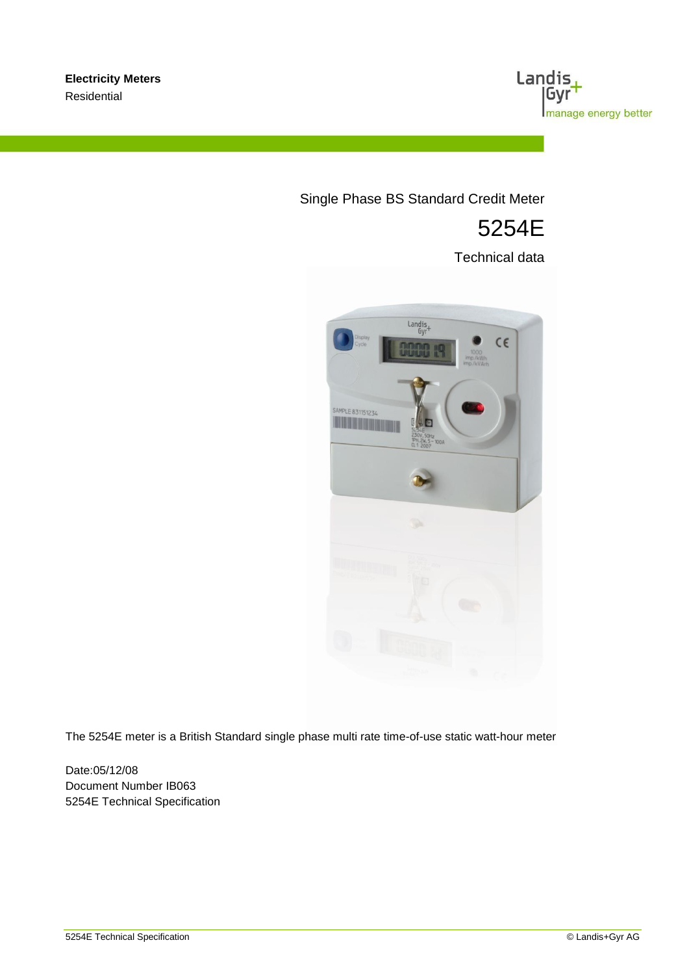

# Single Phase BS Standard Credit Meter

# 5254E

Technical data



The 5254E meter is a British Standard single phase multi rate time-of-use static watt-hour meter

Date:05/12/08 Document Number IB063 5254E Technical Specification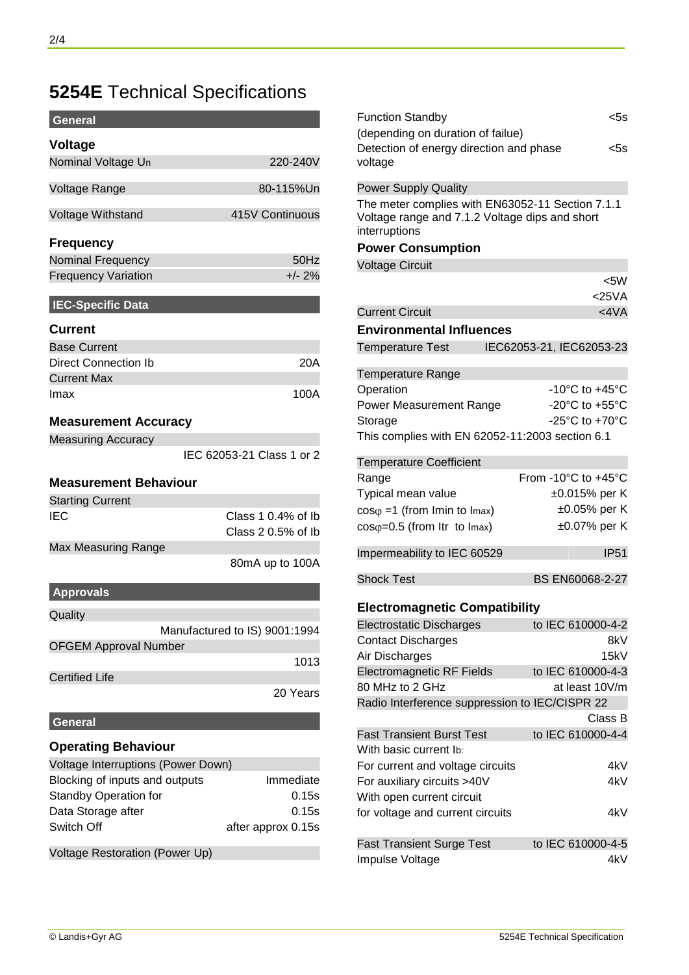# **5254E** Technical Specifications

| General                            |                                          |
|------------------------------------|------------------------------------------|
| <b>Voltage</b>                     |                                          |
| Nominal Voltage Un                 | 220-240V                                 |
| Voltage Range                      | 80-115%Un                                |
| Voltage Withstand                  | 415V Continuous                          |
| <b>Frequency</b>                   |                                          |
| <b>Nominal Frequency</b>           | 50Hz                                     |
| <b>Frequency Variation</b>         | $+/- 2%$                                 |
|                                    |                                          |
| <b>IEC-Specific Data</b>           |                                          |
| <b>Current</b>                     |                                          |
| <b>Base Current</b>                |                                          |
| <b>Direct Connection Ib</b>        | 20A                                      |
| <b>Current Max</b>                 |                                          |
| Imax                               | 100A                                     |
| <b>Measurement Accuracy</b>        |                                          |
| <b>Measuring Accuracy</b>          |                                          |
|                                    | IEC 62053-21 Class 1 or 2                |
|                                    |                                          |
| <b>Measurement Behaviour</b>       |                                          |
| <b>Starting Current</b>            |                                          |
| IEC                                | Class 1 0.4% of Ib<br>Class 2 0.5% of Ib |
| Max Measuring Range                |                                          |
|                                    | 80mA up to 100A                          |
| <b>Approvals</b>                   |                                          |
| Quality                            |                                          |
|                                    | Manufactured to IS) 9001:1994            |
| <b>OFGEM Approval Number</b>       |                                          |
|                                    | 1013                                     |
| <b>Certified Life</b>              |                                          |
|                                    | 20 Years                                 |
| <b>General</b>                     |                                          |
| <b>Operating Behaviour</b>         |                                          |
| Voltage Interruptions (Power Down) |                                          |
| Blocking of inputs and outputs     | Immediate                                |
| Standby Operation for              | 0.15s                                    |
| Data Storage after                 | 0.15s                                    |
| Switch Off                         | after approx 0.15s                       |
|                                    |                                          |
| Voltage Restoration (Power Up)     |                                          |

| <b>Function Standby</b><br>(depending on duration of failue)                                                        | $<$ 5s                                    |
|---------------------------------------------------------------------------------------------------------------------|-------------------------------------------|
| Detection of energy direction and phase<br>voltage                                                                  | <5s                                       |
| <b>Power Supply Quality</b>                                                                                         |                                           |
| The meter complies with EN63052-11 Section 7.1.1<br>Voltage range and 7.1.2 Voltage dips and short<br>interruptions |                                           |
| <b>Power Consumption</b>                                                                                            |                                           |
| <b>Voltage Circuit</b>                                                                                              |                                           |
|                                                                                                                     | $<$ 5W                                    |
|                                                                                                                     | $<$ 25 $VA$                               |
| <b>Current Circuit</b>                                                                                              | $<$ 4 $VA$                                |
| <b>Environmental Influences</b>                                                                                     |                                           |
| <b>Temperature Test</b>                                                                                             | IEC62053-21, IEC62053-23                  |
| <b>Temperature Range</b>                                                                                            |                                           |
| Operation                                                                                                           | -10°C to +45°C                            |
| <b>Power Measurement Range</b>                                                                                      | -20 $^{\circ}$ C to +55 $^{\circ}$ C      |
| Storage                                                                                                             | -25 $^{\circ}$ C to +70 $^{\circ}$ C      |
| This complies with EN 62052-11:2003 section 6.1                                                                     |                                           |
| <b>Temperature Coefficient</b>                                                                                      |                                           |
| Range                                                                                                               | From -10 $^{\circ}$ C to +45 $^{\circ}$ C |
| Typical mean value                                                                                                  | $\pm 0.015\%$ per K                       |
| $cos\varphi = 1$ (from Imin to Imax)                                                                                | ±0.05% per K                              |
| $cos\varphi=0.5$ (from Itr to Imax)                                                                                 | ±0.07% per K                              |
| Impermeability to IEC 60529                                                                                         | <b>IP51</b>                               |
| <b>Shock Test</b>                                                                                                   | BS EN60068-2-27                           |
| <b>Electromagnetic Compatibility</b>                                                                                |                                           |
| <b>Electrostatic Discharges</b>                                                                                     | to IEC 610000-4-2                         |
| <b>Contact Discharges</b>                                                                                           | 8kV                                       |
| Air Discharges                                                                                                      | 15kV                                      |
| <b>Electromagnetic RF Fields</b>                                                                                    | to IEC 610000-4-3                         |
| 80 MHz to 2 GHz                                                                                                     | at least 10V/m                            |
| Radio Interference suppression to IEC/CISPR 22                                                                      |                                           |
|                                                                                                                     | Class B                                   |
| <b>Fast Transient Burst Test</b>                                                                                    | to IEC 610000-4-4                         |
| With basic current lb:                                                                                              |                                           |
| For current and voltage circuits<br>For auxiliary circuits >40V                                                     | 4kV<br>4kV                                |
| With open current circuit                                                                                           |                                           |
| for voltage and current circuits                                                                                    | 4kV                                       |
|                                                                                                                     |                                           |
| <b>Fast Transient Surge Test</b>                                                                                    | to IEC 610000-4-5                         |
| Impulse Voltage                                                                                                     | 4kV                                       |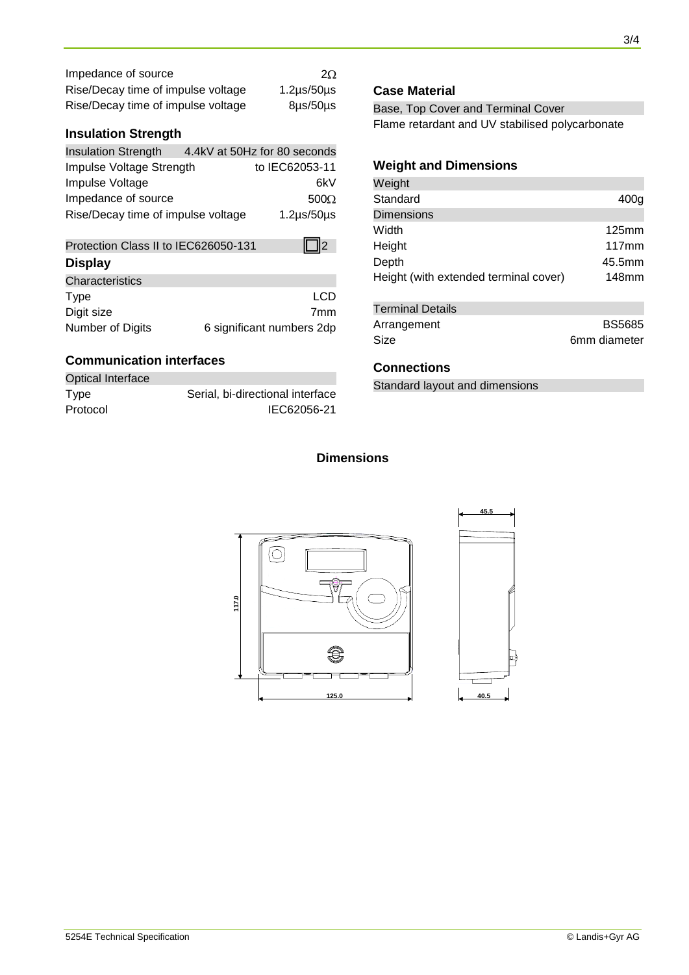| Impedance of source                | $2\Omega$          |
|------------------------------------|--------------------|
| Rise/Decay time of impulse voltage | $1.2\mu s/50\mu s$ |
| Rise/Decay time of impulse voltage | $8\mu s/50\mu s$   |

### **Insulation Strength**

| <b>Insulation Strength</b>         | 4.4kV at 50Hz for 80 seconds |
|------------------------------------|------------------------------|
| Impulse Voltage Strength           | to IEC62053-11               |
| Impulse Voltage                    | 6kV                          |
| Impedance of source                | $500\Omega$                  |
| Rise/Decay time of impulse voltage | $1.2\mu s/50\mu s$           |

| Protection Class II to IEC626050-131 | 112                       |
|--------------------------------------|---------------------------|
| <b>Display</b>                       |                           |
| Characteristics                      |                           |
| <b>Type</b>                          | I CD                      |
| Digit size                           | 7mm                       |
| Number of Digits                     | 6 significant numbers 2dp |

### **Communication interfaces**

| <b>Optical Interface</b> |                                  |
|--------------------------|----------------------------------|
| Type                     | Serial, bi-directional interface |
| Protocol                 | IEC62056-21                      |

#### **Case Material**

Base, Top Cover and Terminal Cover Flame retardant and UV stabilised polycarbonate

# **Weight and Dimensions**

| Weight                                |                 |
|---------------------------------------|-----------------|
| Standard                              | 400g            |
| <b>Dimensions</b>                     |                 |
| Width                                 | $125$ mm        |
| Height                                | $117 \text{mm}$ |
| Depth                                 | 45.5mm          |
| Height (with extended terminal cover) | 148mm           |
|                                       |                 |
| Tarminal Nataile                      |                 |

| Terminal Details |               |
|------------------|---------------|
| Arrangement      | <b>BS5685</b> |
| Size             | 6mm diameter  |

#### **Connections**

Standard layout and dimensions

# **Dimensions**